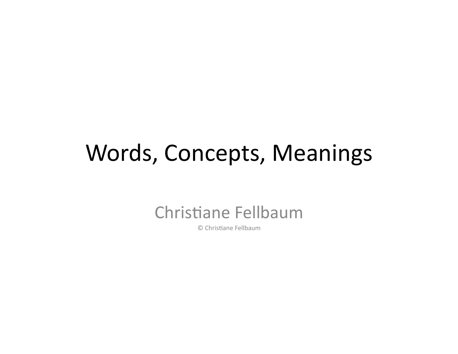#### Words, Concepts, Meanings

#### Christiane Fellbaum

© Christiane Fellbaum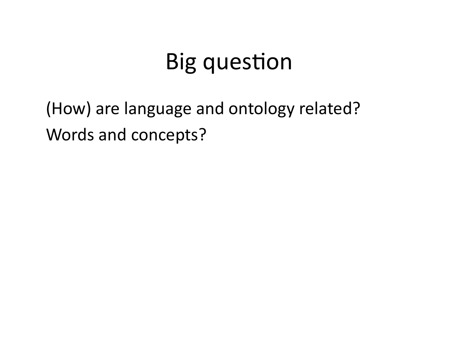# **Big question**

(How) are language and ontology related? Words and concepts?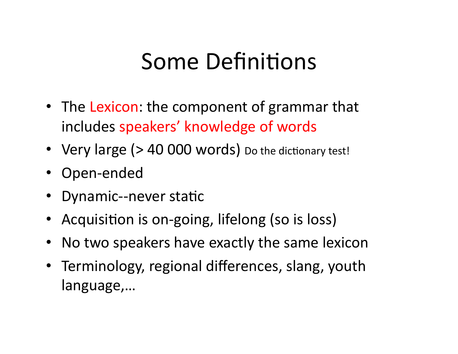# Some Definitions

- The Lexicon: the component of grammar that includes speakers' knowledge of words
- Very large (> 40 000 words) Do the dictionary test!
- Open-ended
- Dynamic--never static
- Acquisition is on-going, lifelong (so is loss)
- Notwo speakers have exactly the same lexicon
- Terminology, regional differences, slang, youth language,…'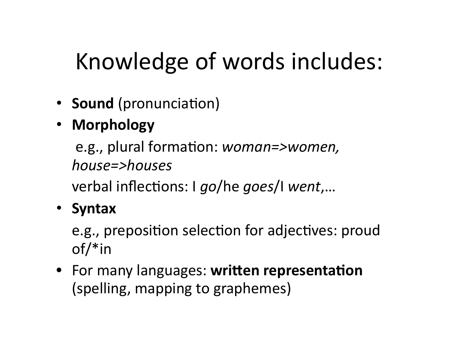# Knowledge of words includes:

- **Sound** (pronunciation)
- **Morphology-**

e.g., plural formation: *woman=>women, house=>houses\**

verbal inflections: I *go*/he *goes*/I *went*,...

#### • **Syntax**''

e.g., preposition selection for adjectives: proud of/\*in'

• For many languages: written representation (spelling, mapping to graphemes)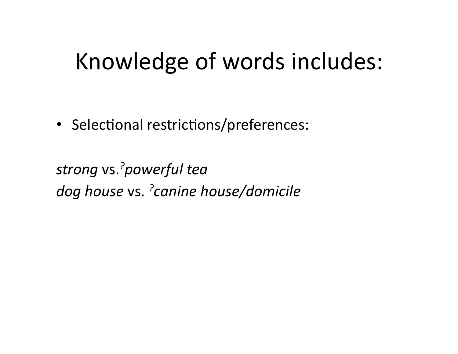## Knowledge of words includes:

• Selectional restrictions/preferences:

strong vs.<sup>?</sup>powerful tea *dog\*house\**vs. *?canine\*house/domicile*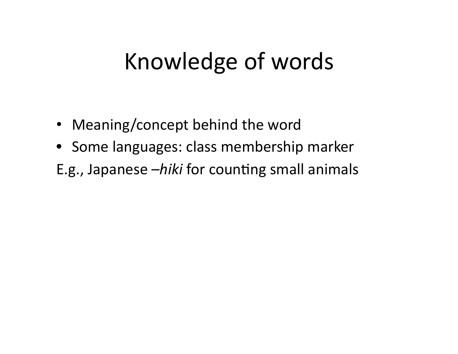# Knowledge of words

- Meaning/concept behind the word
- Some languages: class membership marker
- E.g., Japanese *-hiki* for counting small animals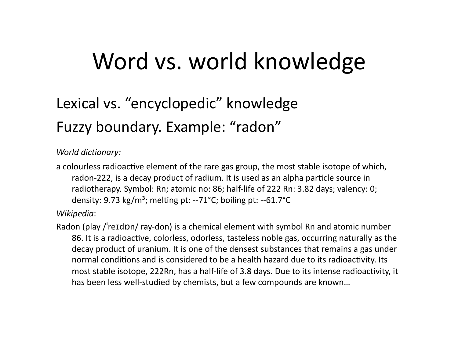### Word vs. world knowledge

#### Lexical vs. "encyclopedic" knowledge Fuzzy boundary. Example: "radon"

#### *World dictionary:*

a colourless radioactive element of the rare gas group, the most stable isotope of which, radon-222, is a decay product of radium. It is used as an alpha particle source in radiotherapy. Symbol: Rn; atomic no: 86; half-life of 222 Rn: 3.82 days; valency: 0; density:  $9.73 \text{ kg/m}^3$ ; melting pt: -- $71^{\circ}$ C; boiling pt: -- $61.7^{\circ}$ C

Wikipedia:

Radon (play /'reIdDn/ ray-don) is a chemical element with symbol Rn and atomic number 86. It is a radioactive, colorless, odorless, tasteless noble gas, occurring naturally as the decay product of uranium. It is one of the densest substances that remains a gas under normal conditions and is considered to be a health hazard due to its radioactivity. Its most stable isotope, 222Rn, has a half-life of 3.8 days. Due to its intense radioactivity, it has been less well-studied by chemists, but a few compounds are known...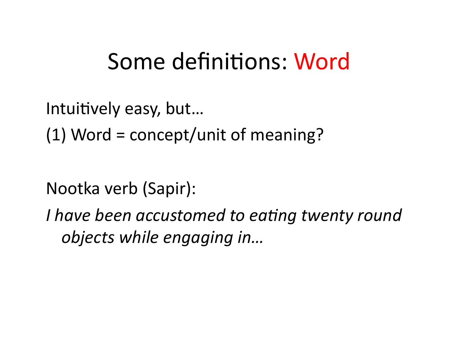#### Some definitions: Word

Intuitively easy, but...

 $(1)$  Word = concept/unit of meaning?

Nootka verb (Sapir):

I have been accustomed to eating twenty round objects while engaging in...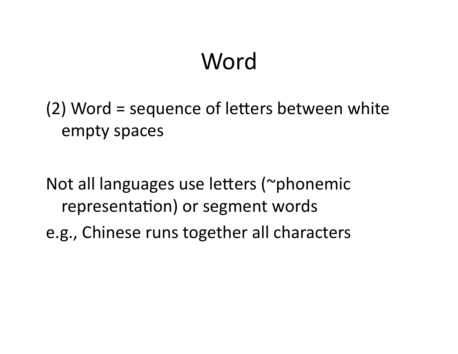# **Word**

 $(2)$  Word = sequence of letters between white empty spaces

Not all languages use letters (~phonemic representation) or segment words e.g., Chinese runs together all characters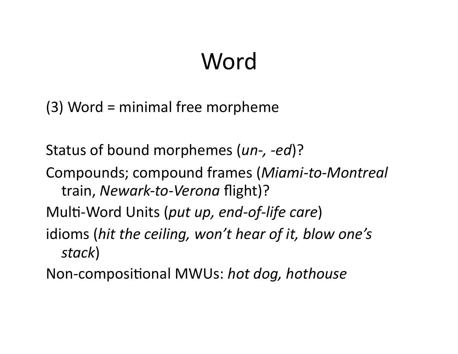# Word

 $(3)$  Word = minimal free morpheme

Status of bound morphemes (*un-, -ed*)?

Compounds; compound frames (Miami-to-Montreal train, Newark-to-Verona flight)?

Multi-Word Units (put up, end-of-life care)

idioms (hit the ceiling, won't hear of it, blow one's stack)

Non-compositional MWUs: hot dog, hothouse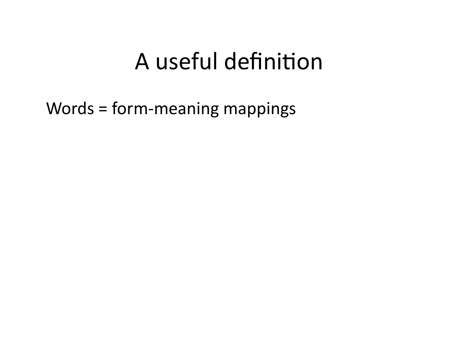## A useful definition

Words = form-meaning mappings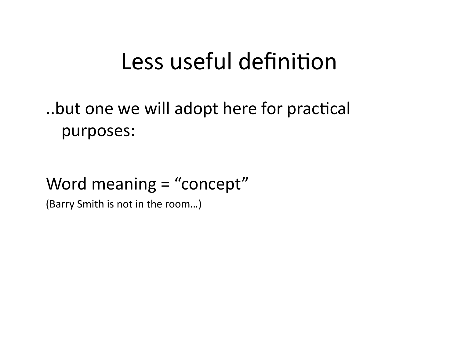#### Less useful definition

..but one we will adopt here for practical purposes:

#### Word meaning  $=$  "concept"

(Barry Smith is not in the room...)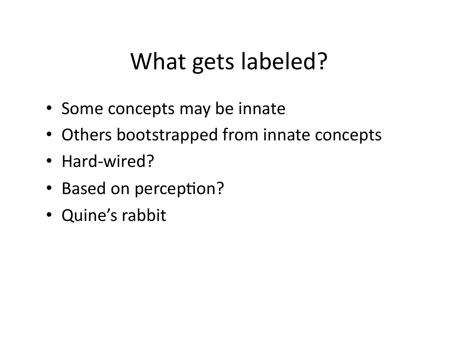# What gets labeled?

- Some concepts may be innate
- Others bootstrapped from innate concepts
- Hard-wired?
- Based on perception?
- Quine's rabbit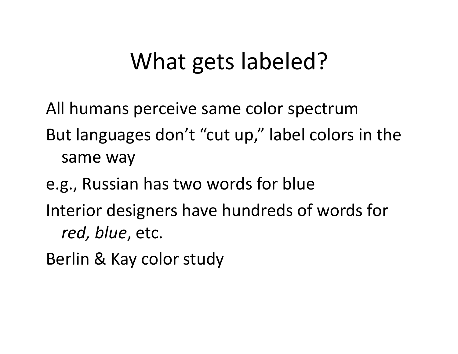# What gets labeled?

All humans perceive same color spectrum

But languages don't "cut up," label colors in the same way

e.g., Russian has two words for blue Interior designers have hundreds of words for red, blue, etc.

Berlin & Kay color study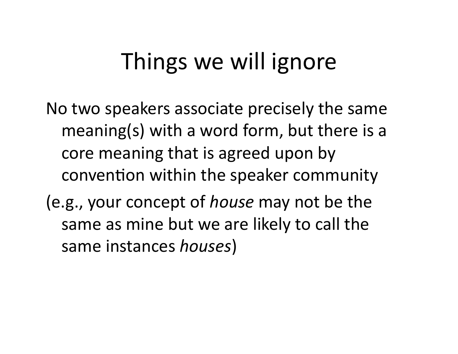# Things we will ignore

No two speakers associate precisely the same meaning(s) with a word form, but there is a core meaning that is agreed upon by convention within the speaker community

(e.g., your concept of *house* may not be the same as mine but we are likely to call the same'instances'*houses*)'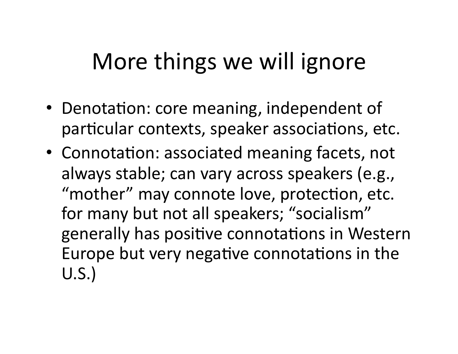# More things we will ignore

- Denotation: core meaning, independent of particular contexts, speaker associations, etc.
- Connotation: associated meaning facets, not always stable; can vary across speakers (e.g., "mother" may connote love, protection, etc. for many but not all speakers; "socialism" generally has positive connotations in Western Europe but very negative connotations in the  $U.S.$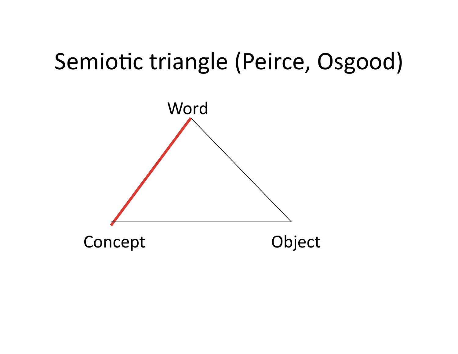# Semiotic triangle (Peirce, Osgood)

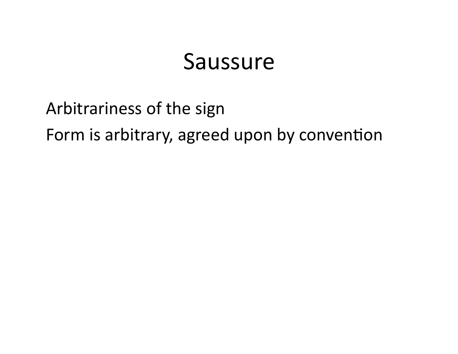#### Saussure

Arbitrariness of the sign Form is arbitrary, agreed upon by convention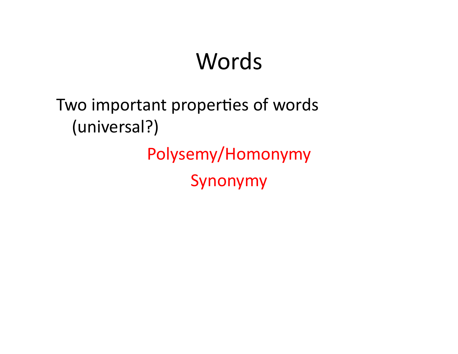# **Words**

#### Two important properties of words (universal?) Polysemy/Homonymy' Synonymy'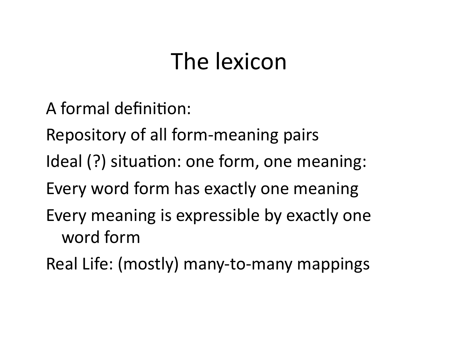# The lexicon

A formal definition:

Repository of all form-meaning pairs

Ideal (?) situation: one form, one meaning:

Every word form has exactly one meaning

Every meaning is expressible by exactly one word form

Real Life: (mostly) many-to-many mappings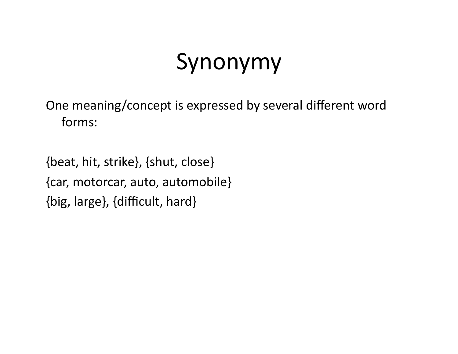# Synonymy'

One meaning/concept is expressed by several different word forms:

{beat, hit, strike}, {shut, close} {car, motorcar, auto, automobile} {big, large}, {difficult, hard}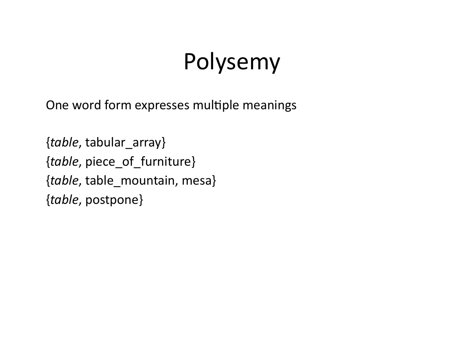# Polysemy

One word form expresses multiple meanings

{*table*, tabular\_array} {*table*, piece\_of\_furniture} {*table*, table\_mountain, mesa} {*table*, postpone}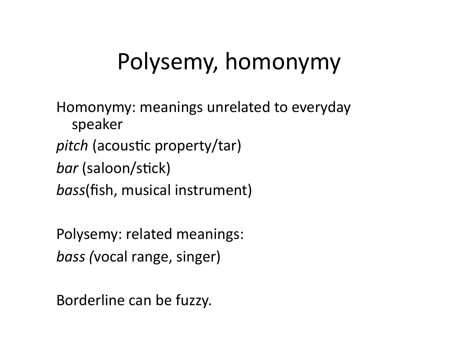# Polysemy, homonymy

Homonymy: meanings unrelated to everyday speaker' *pitch* (acoustic property/tar) bar (saloon/stick) bass(fish, musical instrument)

Polysemy: related meanings: *bass* (vocal range, singer)

Borderline can be fuzzy.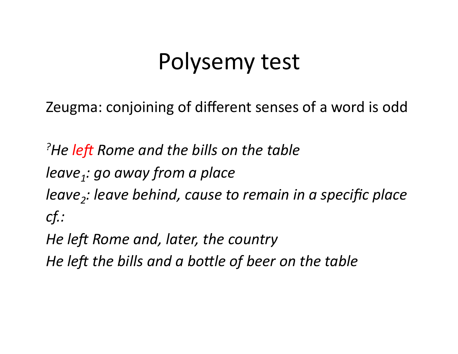#### Polysemy test

Zeugma: conjoining of different senses of a word is odd

<sup>?</sup>He left Rome and the bills on the table leave,: go away from a place leave<sub>2</sub>: leave behind, cause to remain in a specific place  $cf.$ :

He left Rome and, later, the country

He left the bills and a bottle of beer on the table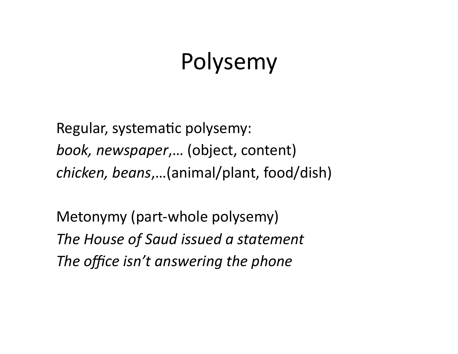## **Polysemy**

Regular, systematic polysemy: book, newspaper,... (object, content) *chicken, beans,...*(animal/plant, food/dish)

Metonymy (part-whole polysemy) *The\*House\*of\*Saud\*issued\*a\*statement\** The office isn't answering the phone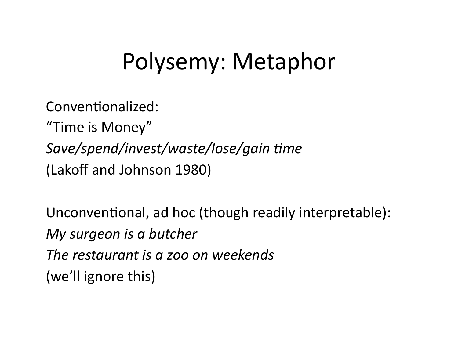# Polysemy: Metaphor

Conventionalized:

"Time is Money" Save/spend/invest/waste/lose/gain time (Lakoff and Johnson 1980)

Unconventional, ad hoc (though readily interpretable): My surgeon is a butcher The restaurant is a zoo on weekends (we'll ignore this)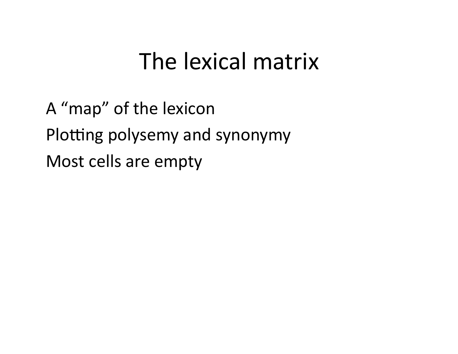#### The lexical matrix

A "map" of the lexicon Plotting polysemy and synonymy Most cells are empty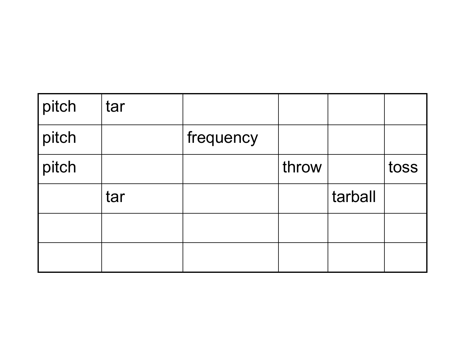| pitch | tar |           |       |         |      |
|-------|-----|-----------|-------|---------|------|
| pitch |     | frequency |       |         |      |
| pitch |     |           | throw |         | toss |
|       | tar |           |       | tarball |      |
|       |     |           |       |         |      |
|       |     |           |       |         |      |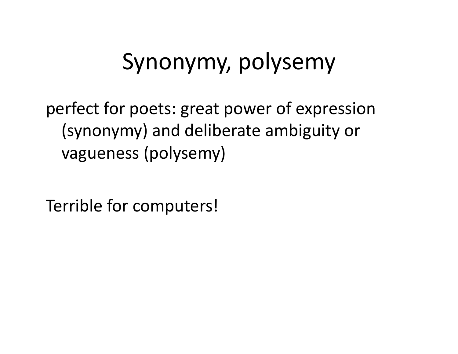# Synonymy, polysemy

perfect for poets: great power of expression (synonymy) and deliberate ambiguity or vagueness (polysemy)

Terrible for computers!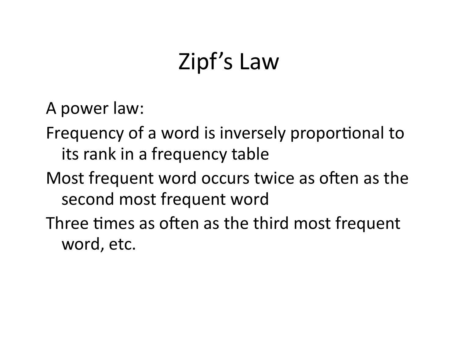# Zipf's Law

A power law:

- Frequency of a word is inversely proportional to its rank in a frequency table
- Most frequent word occurs twice as often as the second most frequent word
- Three times as often as the third most frequent word, etc.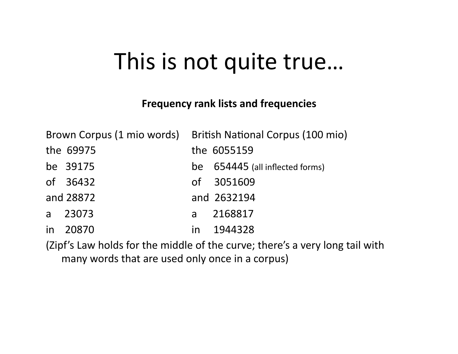#### This is not quite true...

#### **Frequency rank lists and frequencies**

|              |           |    | Brown Corpus (1 mio words) British National Corpus (100 mio) |
|--------------|-----------|----|--------------------------------------------------------------|
|              | the 69975 |    | the 6055159                                                  |
|              | be 39175  |    | be 654445 (all inflected forms)                              |
|              | of 36432  |    | of 3051609                                                   |
|              | and 28872 |    | and 2632194                                                  |
| $\mathsf{a}$ | 23073     | a  | 2168817                                                      |
| in           | 20870     | in | 1944328                                                      |

(Zipf's Law holds for the middle of the curve; there's a very long tail with many words that are used only once in a corpus)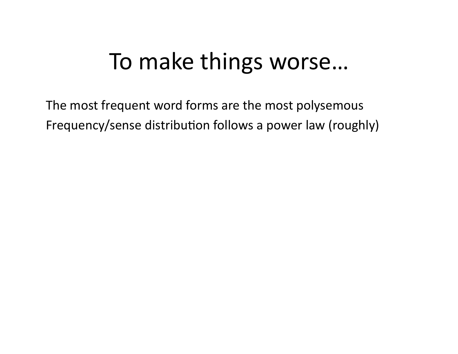# To make things worse...

The most frequent word forms are the most polysemous Frequency/sense distribution follows a power law (roughly)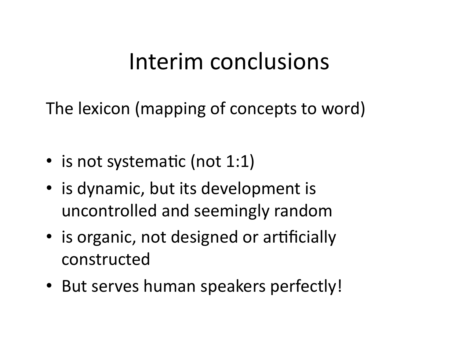# Interim'conclusions'

The lexicon (mapping of concepts to word)

- is not systematic (not  $1:1$ )
- is dynamic, but its development is uncontrolled and seemingly random
- is organic, not designed or artificially constructed'
- But serves human speakers perfectly!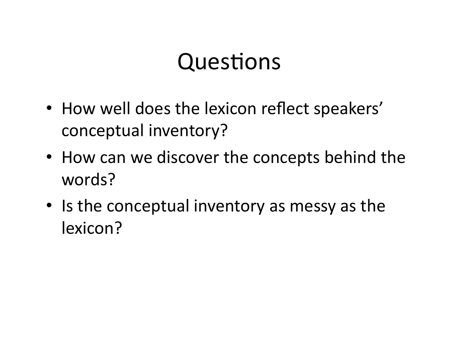# Questions

- How well does the lexicon reflect speakers' conceptual inventory?
- How can we discover the concepts behind the words?
- Is the conceptual inventory as messy as the lexicon?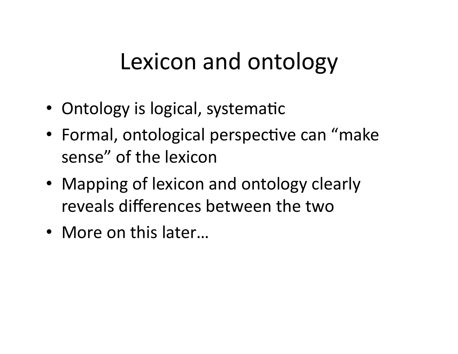# Lexicon and ontology

- Ontology is logical, systematic
- Formal, ontological perspective can "make" sense" of the lexicon
- Mapping of lexicon and ontology clearly reveals differences between the two
- More on this later...